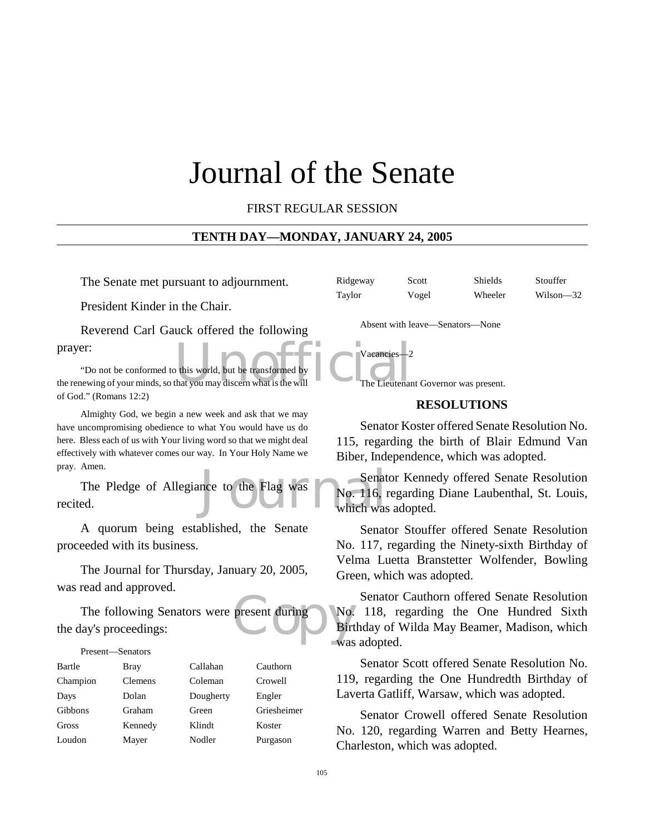# Journal of the Senate

FIRST REGULAR SESSION

## **TENTH DAY—MONDAY, JANUARY 24, 2005**

The Senate met pursuant to adjournment.

President Kinder in the Chair.

Reverend Carl Gauck offered the following prayer:

prayer:<br>
"Do not be conformed to this world, but be transformed by<br>
the renewing of your minds, so that you may discern what is the will<br>
The Lieutenar "Do not be conformed to this world, but be transformed by of God." (Romans 12:2)

Almighty God, we begin a new week and ask that we may have uncompromising obedience to what You would have us do here. Bless each of us with Your living word so that we might deal effectively with whatever comes our way. In Your Holy Name we pray. Amen.

Senat<br>
no. 116, 1<br>
which was<br>
which was The Pledge of Allegiance to the Flag was recited.

A quorum being established, the Senate proceeded with its business.

The Journal for Thursday, January 20, 2005, was read and approved.

present during No. The following Senators were present during the day's proceedings:

#### Present—Senators

| Bartle   | <b>Bray</b>    | Callahan  | Cauthorn    |
|----------|----------------|-----------|-------------|
| Champion | <b>Clemens</b> | Coleman   | Crowell     |
| Days     | Dolan          | Dougherty | Engler      |
| Gibbons  | Graham         | Green     | Griesheimer |
| Gross    | Kennedy        | Klindt    | Koster      |
| Loudon   | Mayer          | Nodler    | Purgason    |

| Ridgeway | Scott | Shields | Stouffer  |
|----------|-------|---------|-----------|
| Taylor   | Vogel | Wheeler | Wilson—32 |

Absent with leave—Senators—None



#### **RESOLUTIONS**

Senator Koster offered Senate Resolution No. 115, regarding the birth of Blair Edmund Van Biber, Independence, which was adopted.

Senator Kennedy offered Senate Resolution No. 116, regarding Diane Laubenthal, St. Louis, which was adopted.

Senator Stouffer offered Senate Resolution No. 117, regarding the Ninety-sixth Birthday of Velma Luetta Branstetter Wolfender, Bowling Green, which was adopted.

Senator Cauthorn offered Senate Resolution No. 118, regarding the One Hundred Sixth Birthday of Wilda May Beamer, Madison, which was adopted.

Senator Scott offered Senate Resolution No. 119, regarding the One Hundredth Birthday of Laverta Gatliff, Warsaw, which was adopted.

Senator Crowell offered Senate Resolution No. 120, regarding Warren and Betty Hearnes, Charleston, which was adopted.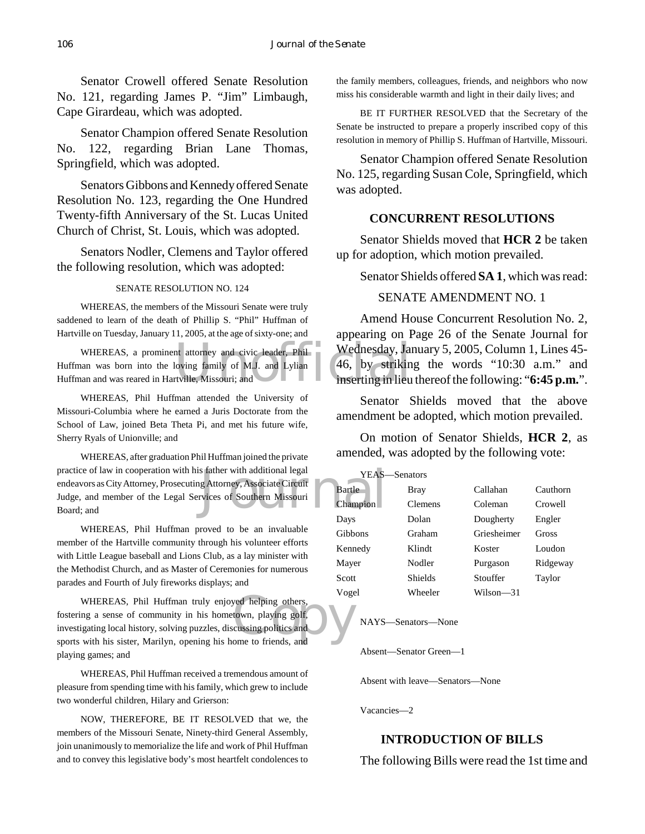Senator Crowell offered Senate Resolution No. 121, regarding James P. "Jim" Limbaugh, Cape Girardeau, which was adopted.

Senator Champion offered Senate Resolution No. 122, regarding Brian Lane Thomas, Springfield, which was adopted.

Senators Gibbons and Kennedy offered Senate Resolution No. 123, regarding the One Hundred Twenty-fifth Anniversary of the St. Lucas United Church of Christ, St. Louis, which was adopted.

Senators Nodler, Clemens and Taylor offered the following resolution, which was adopted:

#### SENATE RESOLUTION NO. 124

WHEREAS, the members of the Missouri Senate were truly saddened to learn of the death of Phillip S. "Phil" Huffman of Hartville on Tuesday, January 11, 2005, at the age of sixty-one; and

nt attorney and civic leader, Phil Wednesday, January 1981<br>Ioving family of M.J. and Lylian 46, by strikin<br>Inserting in lieu WHEREAS, a prominent attorney and civic leader, Phil Huffman was born into the loving family of M.J. and Lylian Huffman and was reared in Hartville, Missouri; and

WHEREAS, Phil Huffman attended the University of Missouri-Columbia where he earned a Juris Doctorate from the School of Law, joined Beta Theta Pi, and met his future wife, Sherry Ryals of Unionville; and

S father with additional legal VEAS-<br>g Attorney, Associate Circuit<br>vices of Southern Missouri<br>Champion WHEREAS, after graduation Phil Huffman joined the private practice of law in cooperation with his father with additional legal endeavors as City Attorney, Prosecuting Attorney, Associate Circuit Judge, and member of the Legal Services of Southern Missouri Board; and

WHEREAS, Phil Huffman proved to be an invaluable member of the Hartville community through his volunteer efforts with Little League baseball and Lions Club, as a lay minister with the Methodist Church, and as Master of Ceremonies for numerous parades and Fourth of July fireworks displays; and

WHEREAS, Phil Huffman truly enjoyed helping others,<br>
in a sense of community in his hometown, playing golf,<br>
igating local history, solving puzzles, discussing politics and<br>
with his sister, Marilyn, opening his home to fr fostering a sense of community in his hometown, playing golf, investigating local history, solving puzzles, discussing politics and sports with his sister, Marilyn, opening his home to friends, and playing games; and

WHEREAS, Phil Huffman received a tremendous amount of pleasure from spending time with his family, which grew to include two wonderful children, Hilary and Grierson:

NOW, THEREFORE, BE IT RESOLVED that we, the members of the Missouri Senate, Ninety-third General Assembly, join unanimously to memorialize the life and work of Phil Huffman and to convey this legislative body's most heartfelt condolences to

the family members, colleagues, friends, and neighbors who now miss his considerable warmth and light in their daily lives; and

BE IT FURTHER RESOLVED that the Secretary of the Senate be instructed to prepare a properly inscribed copy of this resolution in memory of Phillip S. Huffman of Hartville, Missouri.

Senator Champion offered Senate Resolution No. 125, regarding Susan Cole, Springfield, which was adopted.

## **CONCURRENT RESOLUTIONS**

Senator Shields moved that **HCR 2** be taken up for adoption, which motion prevailed.

Senator Shields offered **SA 1**, which was read:

# SENATE AMENDMENT NO. 1

Amend House Concurrent Resolution No. 2, appearing on Page 26 of the Senate Journal for Wednesday, January 5, 2005, Column 1, Lines 45- 46, by striking the words "10:30 a.m." and inserting in lieu thereof the following: "**6:45 p.m.**".

Senator Shields moved that the above amendment be adopted, which motion prevailed.

On motion of Senator Shields, **HCR 2**, as amended, was adopted by the following vote:

| <b>YEAS</b><br>—Senators |                |             |          |  |  |
|--------------------------|----------------|-------------|----------|--|--|
| <b>Bartle</b>            | Bray           | Callahan    | Cauthorn |  |  |
| Champion                 | Clemens        | Coleman     | Crowell  |  |  |
| Days                     | Dolan          | Dougherty   | Engler   |  |  |
| <b>Gibbons</b>           | Graham         | Griesheimer | Gross    |  |  |
| Kennedy                  | Klindt         | Koster      | Loudon   |  |  |
| Mayer                    | Nodler         | Purgason    | Ridgeway |  |  |
| Scott                    | <b>Shields</b> | Stouffer    | Taylor   |  |  |
| Vogel                    | Wheeler        | Wilson—31   |          |  |  |

NAYS—Senators—None

Absent—Senator Green—1

Absent with leave—Senators—None

Vacancies—2

# **INTRODUCTION OF BILLS**

The following Bills were read the 1st time and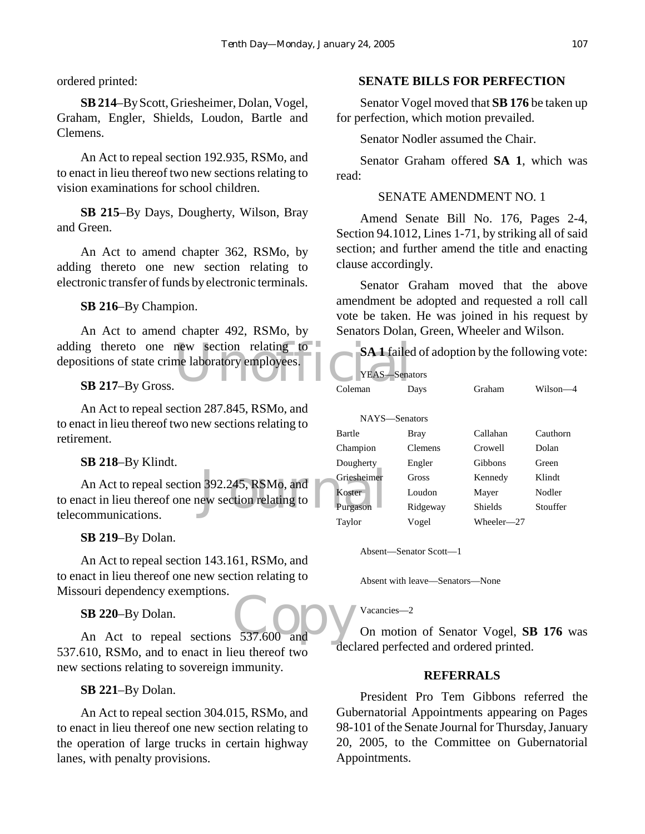ordered printed:

**SB 214**–By Scott, Griesheimer, Dolan, Vogel, Graham, Engler, Shields, Loudon, Bartle and Clemens.

An Act to repeal section 192.935, RSMo, and to enact in lieu thereof two new sections relating to vision examinations for school children.

**SB 215**–By Days, Dougherty, Wilson, Bray and Green.

An Act to amend chapter 362, RSMo, by adding thereto one new section relating to electronic transfer of funds by electronic terminals.

**SB 216**–By Champion.

adding thereto one new section relating to<br>
depositions of state crime laboratory employees.<br>
SR 217-By Gross.<br>
Coleman D An Act to amend chapter 492, RSMo, by depositions of state crime laboratory employees.

**SB 217**–By Gross.

An Act to repeal section 287.845, RSMo, and to enact in lieu thereof two new sections relating to retirement.

**SB 218**–By Klindt.

1 392.245, RSMo, and<br>
ew section relating to Purgason An Act to repeal section 392.245, RSMo, and to enact in lieu thereof one new section relating to telecommunications.

**SB 219**–By Dolan.

An Act to repeal section 143.161, RSMo, and to enact in lieu thereof one new section relating to Missouri dependency exemptions.

**SB 220**–By Dolan.

SB 220-By Dolan.<br>An Act to repeal sections 537.600 and 537.610, RSMo, and to enact in lieu thereof two new sections relating to sovereign immunity.

**SB 221**–By Dolan.

An Act to repeal section 304.015, RSMo, and to enact in lieu thereof one new section relating to the operation of large trucks in certain highway lanes, with penalty provisions.

## **SENATE BILLS FOR PERFECTION**

Senator Vogel moved that **SB 176** be taken up for perfection, which motion prevailed.

Senator Nodler assumed the Chair.

Senator Graham offered **SA 1**, which was read:

## SENATE AMENDMENT NO. 1

Amend Senate Bill No. 176, Pages 2-4, Section 94.1012, Lines 1-71, by striking all of said section; and further amend the title and enacting clause accordingly.

Senator Graham moved that the above amendment be adopted and requested a roll call vote be taken. He was joined in his request by Senators Dolan, Green, Wheeler and Wilson.

**SA 1** failed of adoption by the following vote:

| <b>YEAS-Senators</b> |                |                |          |
|----------------------|----------------|----------------|----------|
| Coleman              | Days           | Graham         | Wilson-  |
|                      |                |                |          |
| NAYS-Senators        |                |                |          |
| <b>Bartle</b>        | Bray           | Callahan       | Cauthorn |
| Champion             | <b>Clemens</b> | Crowell        | Dolan    |
| Dougherty            | Engler         | Gibbons        | Green    |
| Griesheimer          | Gross          | Kennedy        | Klindt   |
| Koster               | Loudon         | Mayer          | Nodler   |
| Purgason             | Ridgeway       | <b>Shields</b> | Stouffer |
| Taylor               | Vogel          | Wheeler—27     |          |

Absent—Senator Scott—1

Absent with leave—Senators—None

Vacancies—2

On motion of Senator Vogel, **SB 176** was declared perfected and ordered printed.

### **REFERRALS**

President Pro Tem Gibbons referred the Gubernatorial Appointments appearing on Pages 98-101 of the Senate Journal for Thursday, January 20, 2005, to the Committee on Gubernatorial Appointments.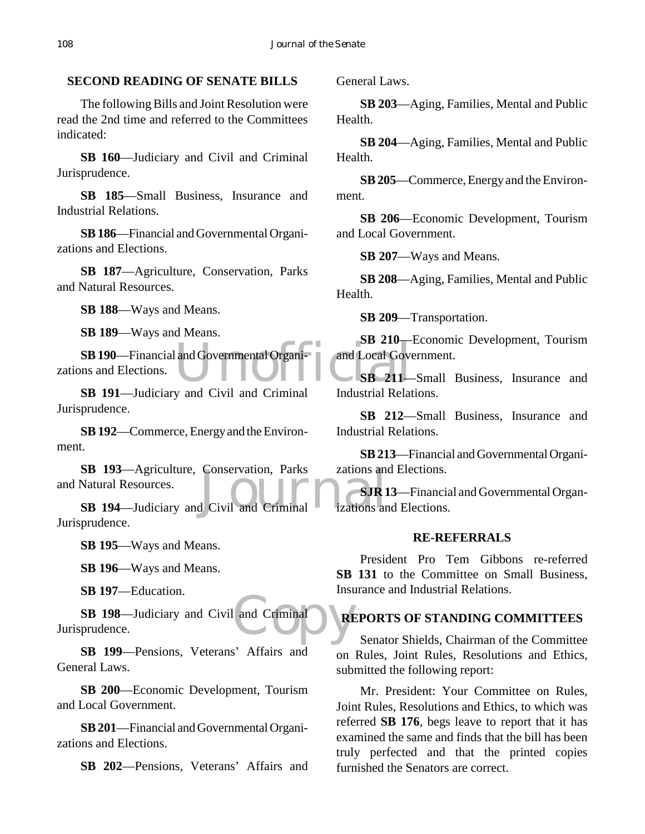# **SECOND READING OF SENATE BILLS**

The following Bills and Joint Resolution were read the 2nd time and referred to the Committees indicated:

**SB 160**—Judiciary and Civil and Criminal Jurisprudence.

**SB 185**—Small Business, Insurance and Industrial Relations.

**SB 186**—Financial and Governmental Organizations and Elections.

**SB 187**—Agriculture, Conservation, Parks and Natural Resources.

**SB 188**—Ways and Means.

**SB 189**—Ways and Means.

and Governmental Organi-<br>
SB 211-**SB 190**—Financial and Governmental Organizations and Elections.

**SB 191**—Judiciary and Civil and Criminal Jurisprudence.

**SB 192**—Commerce, Energy and the Environment.

SB 193—Agriculture, Conservation, Parks zations and<br>Natural Resources.<br>SB 194—Judiciary and Civil and Criminal izations and **SB 193**—Agriculture, Conservation, Parks and Natural Resources.

Jurisprudence.

**SB 195**—Ways and Means.

**SB 196**—Ways and Means.

**SB 197**—Education.

and Criminal **SB 198**—Judiciary and Civil and Criminal Jurisprudence.

**SB 199**—Pensions, Veterans' Affairs and General Laws.

**SB 200**—Economic Development, Tourism and Local Government.

**SB 201**—Financial and Governmental Organizations and Elections.

**SB 202**—Pensions, Veterans' Affairs and

General Laws.

**SB 203**—Aging, Families, Mental and Public Health.

**SB 204**—Aging, Families, Mental and Public Health.

**SB 205**—Commerce, Energy and the Environment.

**SB 206**—Economic Development, Tourism and Local Government.

**SB 207**—Ways and Means.

**SB 208**—Aging, Families, Mental and Public Health.

**SB 209**—Transportation.

**SB 210**—Economic Development, Tourism and Local Government.

**SB 211**—Small Business, Insurance and Industrial Relations.

**SB 212**—Small Business, Insurance and Industrial Relations.

**SB 213**—Financial and Governmental Organizations and Elections.

**SJR 13**—Financial and Governmental Organizations and Elections.

# **RE-REFERRALS**

President Pro Tem Gibbons re-referred SB 131 to the Committee on Small Business, Insurance and Industrial Relations.

# **REPORTS OF STANDING COMMITTEES**

Senator Shields, Chairman of the Committee on Rules, Joint Rules, Resolutions and Ethics, submitted the following report:

Mr. President: Your Committee on Rules, Joint Rules, Resolutions and Ethics, to which was referred **SB 176**, begs leave to report that it has examined the same and finds that the bill has been truly perfected and that the printed copies furnished the Senators are correct.